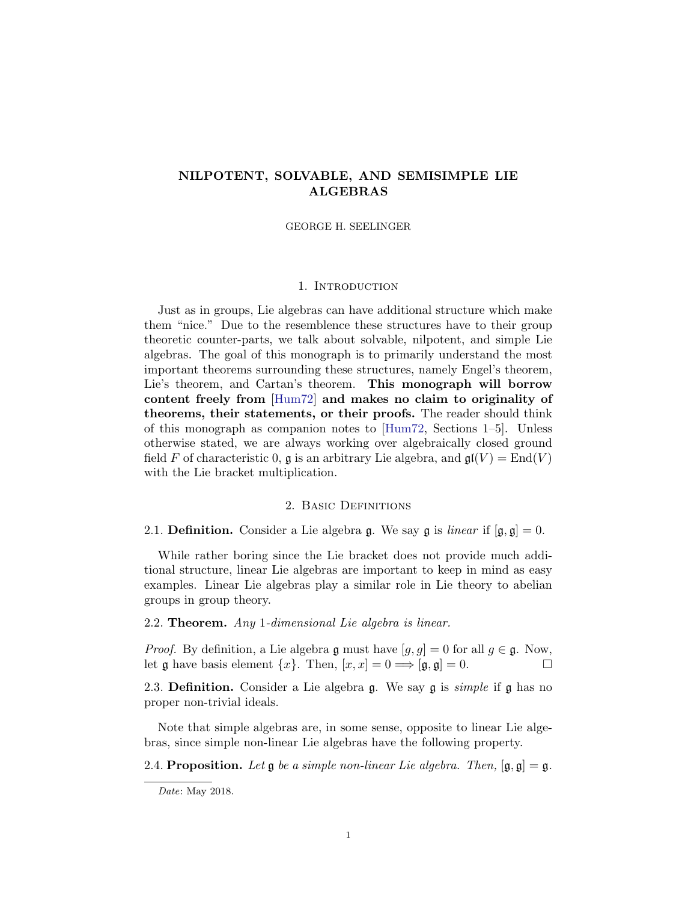# NILPOTENT, SOLVABLE, AND SEMISIMPLE LIE ALGEBRAS

GEORGE H. SEELINGER

## 1. INTRODUCTION

Just as in groups, Lie algebras can have additional structure which make them "nice." Due to the resemblence these structures have to their group theoretic counter-parts, we talk about solvable, nilpotent, and simple Lie algebras. The goal of this monograph is to primarily understand the most important theorems surrounding these structures, namely Engel's theorem, Lie's theorem, and Cartan's theorem. This monograph will borrow content freely from [\[Hum72\]](#page-12-0) and makes no claim to originality of theorems, their statements, or their proofs. The reader should think of this monograph as companion notes to [\[Hum72,](#page-12-0) Sections 1–5]. Unless otherwise stated, we are always working over algebraically closed ground field F of characteristic 0, g is an arbitrary Lie algebra, and  $\mathfrak{gl}(V) = \text{End}(V)$ with the Lie bracket multiplication.

## 2. Basic Definitions

2.1. **Definition.** Consider a Lie algebra  $\mathfrak{g}$ . We say  $\mathfrak{g}$  is *linear* if  $[\mathfrak{g}, \mathfrak{g}] = 0$ .

While rather boring since the Lie bracket does not provide much additional structure, linear Lie algebras are important to keep in mind as easy examples. Linear Lie algebras play a similar role in Lie theory to abelian groups in group theory.

### 2.2. Theorem. Any 1-dimensional Lie algebra is linear.

*Proof.* By definition, a Lie algebra  $\mathfrak g$  must have  $[g, g] = 0$  for all  $g \in \mathfrak g$ . Now, let **g** have basis element  $\{x\}$ . Then,  $[x, x] = 0 \Longrightarrow [\mathfrak{g}, \mathfrak{g}] = 0$ .

2.3. **Definition.** Consider a Lie algebra  $\mathfrak{g}$ . We say  $\mathfrak{g}$  is *simple* if  $\mathfrak{g}$  has no proper non-trivial ideals.

Note that simple algebras are, in some sense, opposite to linear Lie algebras, since simple non-linear Lie algebras have the following property.

2.4. Proposition. Let  $\mathfrak g$  be a simple non-linear Lie algebra. Then,  $[\mathfrak g, \mathfrak g] = \mathfrak g$ .

Date: May 2018.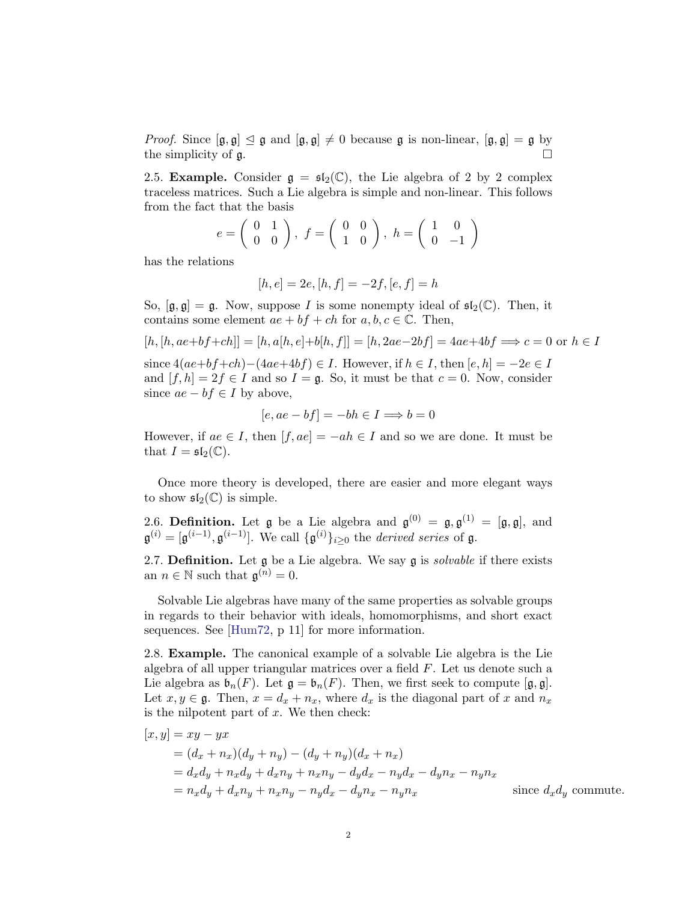*Proof.* Since  $[\mathfrak{g}, \mathfrak{g}] \leq \mathfrak{g}$  and  $[\mathfrak{g}, \mathfrak{g}] \neq 0$  because  $\mathfrak{g}$  is non-linear,  $[\mathfrak{g}, \mathfrak{g}] = \mathfrak{g}$  by the simplicity of  $\mathfrak{g}$ .

2.5. **Example.** Consider  $g = \mathfrak{sl}_2(\mathbb{C})$ , the Lie algebra of 2 by 2 complex traceless matrices. Such a Lie algebra is simple and non-linear. This follows from the fact that the basis

$$
e = \left(\begin{array}{cc} 0 & 1 \\ 0 & 0 \end{array}\right), f = \left(\begin{array}{cc} 0 & 0 \\ 1 & 0 \end{array}\right), h = \left(\begin{array}{cc} 1 & 0 \\ 0 & -1 \end{array}\right)
$$

has the relations

$$
[h, e] = 2e, [h, f] = -2f, [e, f] = h
$$

So,  $[\mathfrak{g}, \mathfrak{g}] = \mathfrak{g}$ . Now, suppose *I* is some nonempty ideal of  $\mathfrak{sl}_2(\mathbb{C})$ . Then, it contains some element  $ae + bf + ch$  for  $a, b, c \in \mathbb{C}$ . Then,

$$
[h, [h, ae+bf+ch]] = [h, a[h, e]+b[h, f]] = [h, 2ae-2bf] = 4ae+4bf \implies c = 0 \text{ or } h \in I
$$
 since  $4(ae+bf+ch)-(4ae+4bf) \in I$ . However, if  $h \in I$ , then  $[e, h] = -2e \in I$  and  $[f, h] = 2f \in I$  and so  $I = \mathfrak{g}$ . So, it must be that  $c = 0$ . Now, consider since  $ae - bf \in I$  by above,

$$
[e, ae - bf] = -bh \in I \Longrightarrow b = 0
$$

However, if  $ae \in I$ , then  $[f, ae] = -ah \in I$  and so we are done. It must be that  $I = \mathfrak{sl}_2(\mathbb{C})$ .

Once more theory is developed, there are easier and more elegant ways to show  $\mathfrak{sl}_2(\mathbb{C})$  is simple.

2.6. Definition. Let g be a Lie algebra and  $\mathfrak{g}^{(0)} = \mathfrak{g}, \mathfrak{g}^{(1)} = [\mathfrak{g}, \mathfrak{g}],$  and  $\mathfrak{g}^{(i)} = [\mathfrak{g}^{(i-1)}, \mathfrak{g}^{(i-1)}].$  We call  $\{\mathfrak{g}^{(i)}\}_{i \geq 0}$  the *derived series* of  $\mathfrak{g}$ .

2.7. **Definition.** Let  $\mathfrak{g}$  be a Lie algebra. We say  $\mathfrak{g}$  is *solvable* if there exists an  $n \in \mathbb{N}$  such that  $\mathfrak{g}^{(n)} = 0$ .

Solvable Lie algebras have many of the same properties as solvable groups in regards to their behavior with ideals, homomorphisms, and short exact sequences. See [\[Hum72,](#page-12-0) p 11] for more information.

2.8. Example. The canonical example of a solvable Lie algebra is the Lie algebra of all upper triangular matrices over a field F. Let us denote such a Lie algebra as  $\mathfrak{b}_n(F)$ . Let  $\mathfrak{g} = \mathfrak{b}_n(F)$ . Then, we first seek to compute  $[\mathfrak{g}, \mathfrak{g}]$ . Let  $x, y \in \mathfrak{g}$ . Then,  $x = d_x + n_x$ , where  $d_x$  is the diagonal part of x and  $n_x$ is the nilpotent part of  $x$ . We then check:

$$
[x, y] = xy - yx
$$
  
=  $(d_x + n_x)(d_y + n_y) - (d_y + n_y)(d_x + n_x)$   
=  $d_x d_y + n_x d_y + d_x n_y + n_x n_y - d_y d_x - n_y d_x - d_y n_x - n_y n_x$   
=  $n_x d_y + d_x n_y + n_x n_y - n_y d_x - d_y n_x - n_y n_x$  since  $d_x d_y$  commute.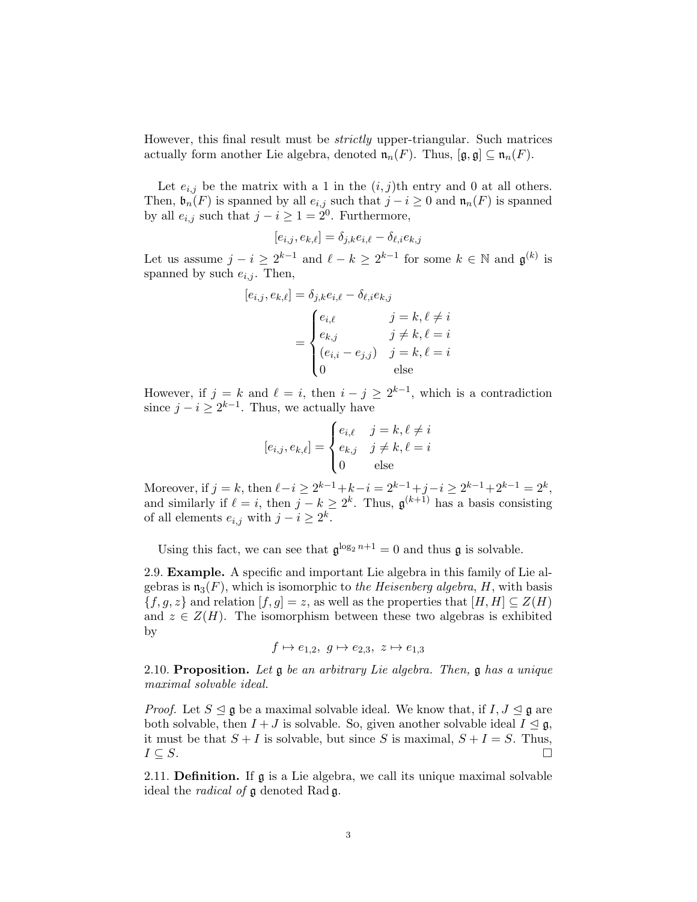However, this final result must be strictly upper-triangular. Such matrices actually form another Lie algebra, denoted  $\mathfrak{n}_n(F)$ . Thus,  $[\mathfrak{g}, \mathfrak{g}] \subseteq \mathfrak{n}_n(F)$ .

Let  $e_{i,j}$  be the matrix with a 1 in the  $(i, j)$ th entry and 0 at all others. Then,  $\mathfrak{b}_n(F)$  is spanned by all  $e_{i,j}$  such that  $j - i \geq 0$  and  $\mathfrak{n}_n(F)$  is spanned by all  $e_{i,j}$  such that  $j - i \geq 1 = 2^0$ . Furthermore,

$$
[e_{i,j}, e_{k,\ell}] = \delta_{j,k} e_{i,\ell} - \delta_{\ell,i} e_{k,j}
$$

Let us assume  $j - i \geq 2^{k-1}$  and  $\ell - k \geq 2^{k-1}$  for some  $k \in \mathbb{N}$  and  $\mathfrak{g}^{(k)}$  is spanned by such  $e_{i,j}$ . Then,

$$
[e_{i,j}, e_{k,\ell}] = \delta_{j,k} e_{i,\ell} - \delta_{\ell,i} e_{k,j}
$$

$$
= \begin{cases} e_{i,\ell} & j = k, \ell \neq i \\ e_{k,j} & j \neq k, \ell = i \\ (e_{i,i} - e_{j,j}) & j = k, \ell = i \\ 0 & \text{else} \end{cases}
$$

However, if  $j = k$  and  $\ell = i$ , then  $i - j \geq 2^{k-1}$ , which is a contradiction since  $j - i \geq 2^{k-1}$ . Thus, we actually have

$$
[e_{i,j}, e_{k,\ell}] = \begin{cases} e_{i,\ell} & j = k, \ell \neq i \\ e_{k,j} & j \neq k, \ell = i \\ 0 & \text{else} \end{cases}
$$

Moreover, if  $j = k$ , then  $\ell - i \ge 2^{k-1} + k - i = 2^{k-1} + j - i \ge 2^{k-1} + 2^{k-1} = 2^k$ , and similarly if  $\ell = i$ , then  $j - k \geq 2^k$ . Thus,  $\mathfrak{g}^{(k+1)}$  has a basis consisting of all elements  $e_{i,j}$  with  $j - i \geq 2^k$ .

Using this fact, we can see that  $\mathfrak{g}^{\log_2 n+1} = 0$  and thus  $\mathfrak{g}$  is solvable.

2.9. Example. A specific and important Lie algebra in this family of Lie algebras is  $\mathfrak{n}_3(F)$ , which is isomorphic to the Heisenberg algebra, H, with basis  ${f, g, z}$  and relation  $[f, g] = z$ , as well as the properties that  $[H, H] \subseteq Z(H)$ and  $z \in Z(H)$ . The isomorphism between these two algebras is exhibited by

$$
f \mapsto e_{1,2}, \ g \mapsto e_{2,3}, \ z \mapsto e_{1,3}
$$

2.10. Proposition. Let  $\mathfrak g$  be an arbitrary Lie algebra. Then,  $\mathfrak g$  has a unique maximal solvable ideal.

*Proof.* Let  $S \triangleleft \mathfrak{g}$  be a maximal solvable ideal. We know that, if  $I, J \triangleleft \mathfrak{g}$  are both solvable, then  $I + J$  is solvable. So, given another solvable ideal  $I \leq \mathfrak{g}$ , it must be that  $S + I$  is solvable, but since S is maximal,  $S + I = S$ . Thus,  $I \subseteq S$ .

2.11. **Definition.** If  $\mathfrak{g}$  is a Lie algebra, we call its unique maximal solvable ideal the *radical* of  $\mathfrak g$  denoted Rad  $\mathfrak g$ .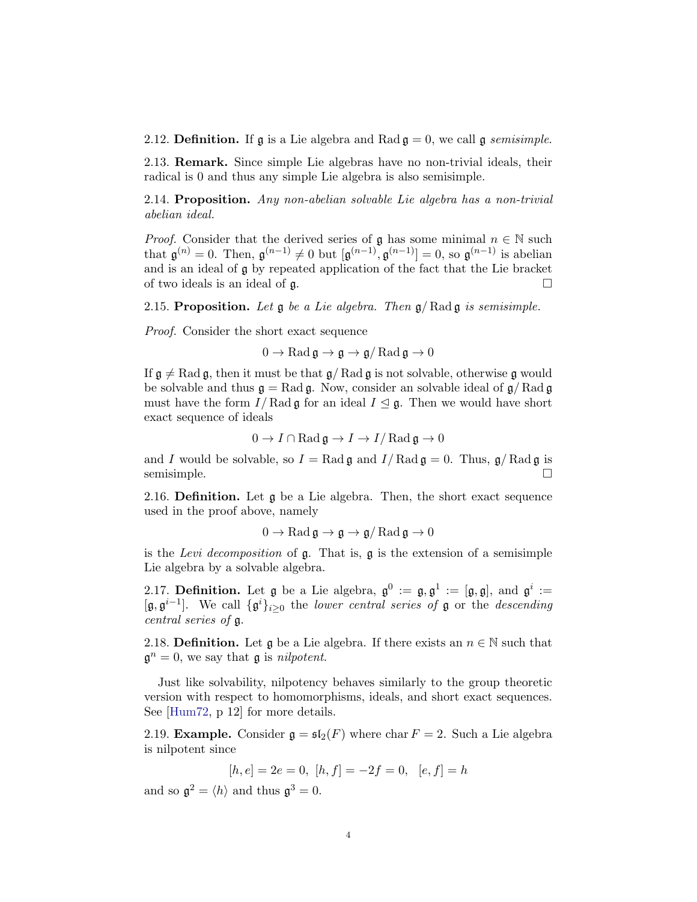2.12. **Definition.** If  $\mathfrak{g}$  is a Lie algebra and Rad  $\mathfrak{g} = 0$ , we call  $\mathfrak{g}$  semisimple.

2.13. Remark. Since simple Lie algebras have no non-trivial ideals, their radical is 0 and thus any simple Lie algebra is also semisimple.

<span id="page-3-0"></span>2.14. Proposition. Any non-abelian solvable Lie algebra has a non-trivial abelian ideal.

*Proof.* Consider that the derived series of  $\mathfrak g$  has some minimal  $n \in \mathbb N$  such that  $\mathfrak{g}^{(n)} = 0$ . Then,  $\mathfrak{g}^{(n-1)} \neq 0$  but  $[\mathfrak{g}^{(n-1)}, \mathfrak{g}^{(n-1)}] = 0$ , so  $\mathfrak{g}^{(n-1)}$  is abelian and is an ideal of g by repeated application of the fact that the Lie bracket of two ideals is an ideal of  $\mathfrak{g}$ .

2.15. Proposition. Let  $\mathfrak g$  be a Lie algebra. Then  $\mathfrak g$ /Rad  $\mathfrak g$  is semisimple.

Proof. Consider the short exact sequence

 $0 \to \text{Rad } \mathfrak{g} \to \mathfrak{g} \to \mathfrak{g}/\text{Rad } \mathfrak{g} \to 0$ 

If  $\mathfrak{g} \neq \text{Rad } \mathfrak{g}$ , then it must be that  $\mathfrak{g}/\text{Rad } \mathfrak{g}$  is not solvable, otherwise g would be solvable and thus  $\mathfrak{g} = \text{Rad } \mathfrak{g}$ . Now, consider an solvable ideal of  $\mathfrak{g}/\text{Rad } \mathfrak{g}$ must have the form  $I/R$  ad g for an ideal  $I \leq g$ . Then we would have short exact sequence of ideals

$$
0 \to I \cap \operatorname{Rad} \mathfrak{g} \to I \to I / \operatorname{Rad} \mathfrak{g} \to 0
$$

and I would be solvable, so  $I = \text{Rad } \mathfrak{g}$  and  $I / \text{Rad } \mathfrak{g} = 0$ . Thus,  $\mathfrak{g} / \text{Rad } \mathfrak{g}$  is semisimple.

<span id="page-3-1"></span>2.16. **Definition.** Let  $\boldsymbol{\mathfrak{g}}$  be a Lie algebra. Then, the short exact sequence used in the proof above, namely

 $0 \to \text{Rad } \mathfrak{g} \to \mathfrak{g} \to \mathfrak{g}/\text{Rad } \mathfrak{g} \to 0$ 

is the Levi decomposition of  $\mathfrak g$ . That is,  $\mathfrak g$  is the extension of a semisimple Lie algebra by a solvable algebra.

2.17. Definition. Let g be a Lie algebra,  $\mathfrak{g}^0 := \mathfrak{g}, \mathfrak{g}^1 := [\mathfrak{g}, \mathfrak{g}],$  and  $\mathfrak{g}^i :=$  $[\mathfrak{g}, \mathfrak{g}^{i-1}]$ . We call  $\{\mathfrak{g}^i\}_{i\geq 0}$  the *lower central series of*  $\mathfrak{g}$  or the *descending* central series of g.

2.18. **Definition.** Let g be a Lie algebra. If there exists an  $n \in \mathbb{N}$  such that  $\mathfrak{g}^n = 0$ , we say that  $\mathfrak{g}$  is *nilpotent*.

Just like solvability, nilpotency behaves similarly to the group theoretic version with respect to homomorphisms, ideals, and short exact sequences. See [\[Hum72,](#page-12-0) p 12] for more details.

2.19. **Example.** Consider  $\mathfrak{g} = \mathfrak{sl}_2(F)$  where char  $F = 2$ . Such a Lie algebra is nilpotent since

$$
[h, e] = 2e = 0, [h, f] = -2f = 0, [e, f] = h
$$

and so  $\mathfrak{g}^2 = \langle h \rangle$  and thus  $\mathfrak{g}^3 = 0$ .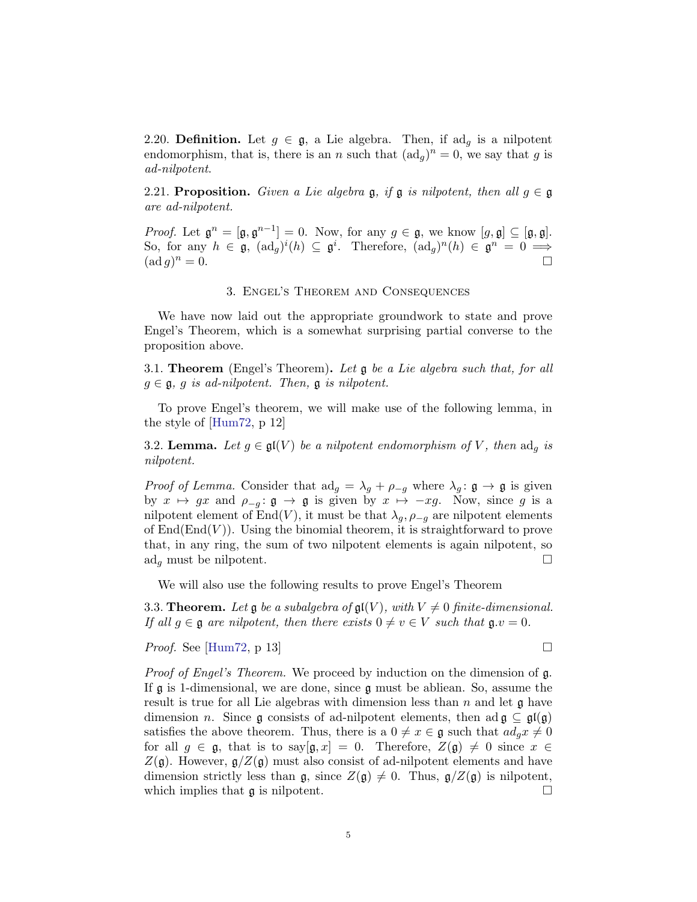2.20. **Definition.** Let  $g \in \mathfrak{g}$ , a Lie algebra. Then, if ad<sub>g</sub> is a nilpotent endomorphism, that is, there is an n such that  $(\text{ad}_g)^n = 0$ , we say that g is ad-nilpotent.

2.21. Proposition. Given a Lie algebra  $\mathfrak g$ , if  $\mathfrak g$  is nilpotent, then all  $g \in \mathfrak g$ are ad-nilpotent.

*Proof.* Let  $\mathfrak{g}^n = [\mathfrak{g}, \mathfrak{g}^{n-1}] = 0$ . Now, for any  $g \in \mathfrak{g}$ , we know  $[g, \mathfrak{g}] \subseteq [\mathfrak{g}, \mathfrak{g}]$ . So, for any  $h \in \mathfrak{g}$ ,  $(\text{ad}_g)^i(h) \subseteq \mathfrak{g}^i$ . Therefore,  $(\text{ad}_g)^n(h) \in \mathfrak{g}^n = 0 \implies$  $(\mathrm{ad}\,g)^n=0.$  $n = 0.$ 

### 3. Engel's Theorem and Consequences

We have now laid out the appropriate groundwork to state and prove Engel's Theorem, which is a somewhat surprising partial converse to the proposition above.

3.1. **Theorem** (Engel's Theorem). Let  $\mathfrak g$  be a Lie algebra such that, for all  $g \in \mathfrak{g}$ , g is ad-nilpotent. Then,  $\mathfrak{g}$  is nilpotent.

To prove Engel's theorem, we will make use of the following lemma, in the style of [\[Hum72,](#page-12-0) p 12]

<span id="page-4-1"></span>3.2. Lemma. Let  $g \in \mathfrak{gl}(V)$  be a nilpotent endomorphism of V, then ad<sub>a</sub> is nilpotent.

*Proof of Lemma.* Consider that  $\text{ad}_g = \lambda_g + \rho_{-g}$  where  $\lambda_g : \mathfrak{g} \to \mathfrak{g}$  is given by  $x \mapsto gx$  and  $\rho_{-g} : \mathfrak{g} \to \mathfrak{g}$  is given by  $x \mapsto -xg$ . Now, since g is a nilpotent element of End(V), it must be that  $\lambda_g$ ,  $\rho_{-g}$  are nilpotent elements of  $\text{End}(\text{End}(V))$ . Using the binomial theorem, it is straightforward to prove that, in any ring, the sum of two nilpotent elements is again nilpotent, so  $ad_q$  must be nilpotent.

We will also use the following results to prove Engel's Theorem

<span id="page-4-0"></span>3.3. **Theorem.** Let  $\mathfrak g$  be a subalgebra of  $\mathfrak{gl}(V)$ , with  $V \neq 0$  finite-dimensional. If all  $g \in \mathfrak{g}$  are nilpotent, then there exists  $0 \neq v \in V$  such that  $\mathfrak{g} \cdot v = 0$ .

*Proof.* See [\[Hum72,](#page-12-0) p 13]

Proof of Engel's Theorem. We proceed by induction on the dimension of  $\mathfrak{g}$ . If g is 1-dimensional, we are done, since g must be abliean. So, assume the result is true for all Lie algebras with dimension less than  $n$  and let  $\mathfrak g$  have dimension *n*. Since g consists of ad-nilpotent elements, then ad  $g \subseteq gl(g)$ satisfies the above theorem. Thus, there is a  $0 \neq x \in \mathfrak{g}$  such that  $ad_qx \neq 0$ for all  $g \in \mathfrak{g}$ , that is to say  $[\mathfrak{g}, x] = 0$ . Therefore,  $Z(\mathfrak{g}) \neq 0$  since  $x \in$  $Z(\mathfrak{g})$ . However,  $\mathfrak{g}/Z(\mathfrak{g})$  must also consist of ad-nilpotent elements and have dimension strictly less than  $\mathfrak{g}$ , since  $Z(\mathfrak{g})\neq 0$ . Thus,  $\mathfrak{g}/Z(\mathfrak{g})$  is nilpotent, which implies that  $\frak{g}$  is nilpotent.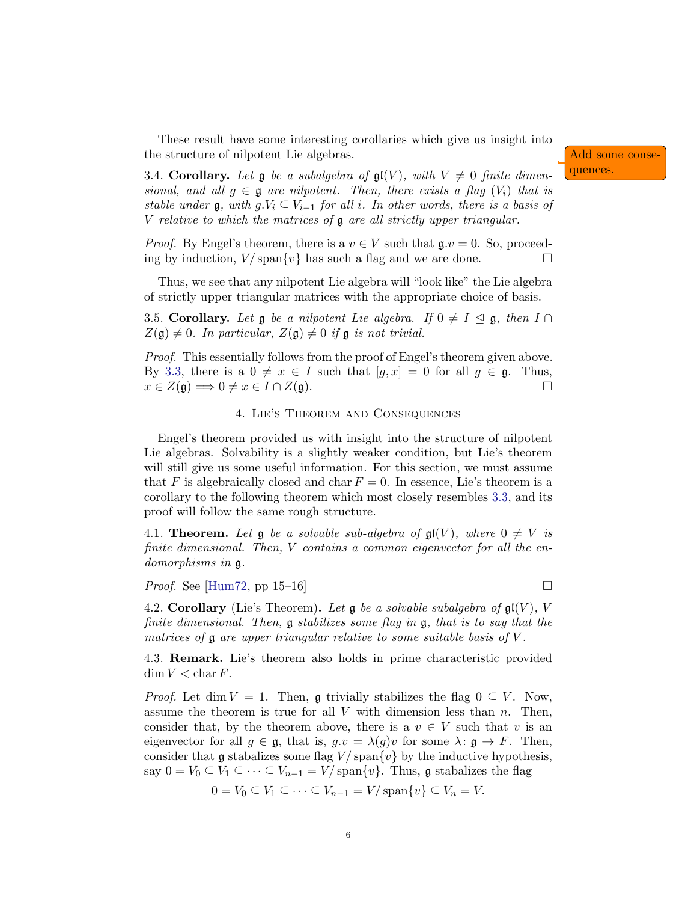These result have some interesting corollaries which give us insight into the structure of nilpotent Lie algebras. Add some conservation of  $\overline{\text{Add some}}$ 

3.4. Corollary. Let g be a subalgebra of  $\mathfrak{gl}(V)$ , with  $V \neq 0$  finite dimensional, and all  $q \in \mathfrak{g}$  are nilpotent. Then, there exists a flag  $(V_i)$  that is stable under  $\mathfrak{g}$ , with  $g.V_i \subseteq V_{i-1}$  for all i. In other words, there is a basis of V relative to which the matrices of  $\mathfrak g$  are all strictly upper triangular.

*Proof.* By Engel's theorem, there is a  $v \in V$  such that  $\mathfrak{g} \cdot v = 0$ . So, proceeding by induction,  $V/\text{span}\{v\}$  has such a flag and we are done.

Thus, we see that any nilpotent Lie algebra will "look like" the Lie algebra of strictly upper triangular matrices with the appropriate choice of basis.

3.5. Corollary. Let  $\mathfrak g$  be a nilpotent Lie algebra. If  $0 \neq I \leq \mathfrak g$ , then  $I \cap$  $Z(\mathfrak{g})\neq 0$ . In particular,  $Z(\mathfrak{g})\neq 0$  if  $\mathfrak{g}$  is not trivial.

Proof. This essentially follows from the proof of Engel's theorem given above. By [3.3,](#page-4-0) there is a  $0 \neq x \in I$  such that  $[g, x] = 0$  for all  $g \in \mathfrak{g}$ . Thus,  $x \in Z(\mathfrak{g}) \Longrightarrow 0 \neq x \in I \cap Z(\mathfrak{g}).$ 

#### 4. Lie's Theorem and Consequences

Engel's theorem provided us with insight into the structure of nilpotent Lie algebras. Solvability is a slightly weaker condition, but Lie's theorem will still give us some useful information. For this section, we must assume that F is algebraically closed and char  $F = 0$ . In essence, Lie's theorem is a corollary to the following theorem which most closely resembles [3.3,](#page-4-0) and its proof will follow the same rough structure.

4.1. **Theorem.** Let  $\mathfrak{g}$  be a solvable sub-algebra of  $\mathfrak{gl}(V)$ , where  $0 \neq V$  is finite dimensional. Then, V contains a common eigenvector for all the endomorphisms in g.

*Proof.* See [\[Hum72,](#page-12-0) pp 15–16]

4.2. Corollary (Lie's Theorem). Let  $\mathfrak g$  be a solvable subalgebra of  $\mathfrak{gl}(V)$ , V finite dimensional. Then, g stabilizes some flag in g, that is to say that the matrices of  $\mathfrak g$  are upper triangular relative to some suitable basis of  $V$ .

4.3. Remark. Lie's theorem also holds in prime characteristic provided  $\dim V < \text{char } F.$ 

*Proof.* Let dim  $V = 1$ . Then, g trivially stabilizes the flag  $0 \subseteq V$ . Now, assume the theorem is true for all V with dimension less than  $n$ . Then, consider that, by the theorem above, there is a  $v \in V$  such that v is an eigenvector for all  $g \in \mathfrak{g}$ , that is,  $g.v = \lambda(g)v$  for some  $\lambda: \mathfrak{g} \to F$ . Then, consider that g stabalizes some flag  $V/$  span $\{v\}$  by the inductive hypothesis, say  $0 = V_0 \subseteq V_1 \subseteq \cdots \subseteq V_{n-1} = V/\text{span}\{v\}$ . Thus, g stabalizes the flag

 $0 = V_0 \subseteq V_1 \subseteq \cdots \subseteq V_{n-1} = V/\operatorname{span}{v} \subseteq V_n = V.$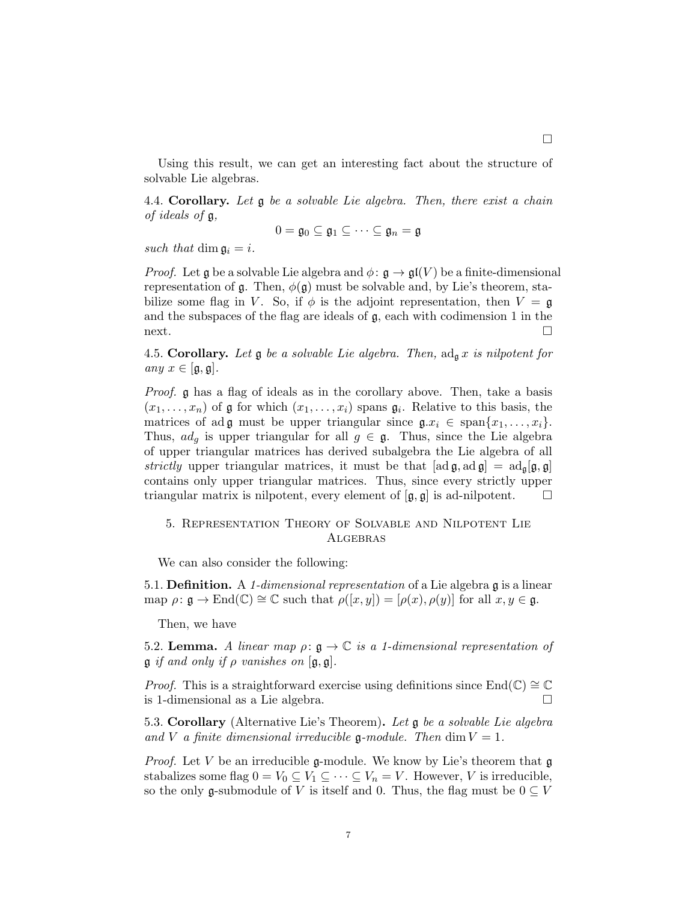Using this result, we can get an interesting fact about the structure of solvable Lie algebras.

4.4. Corollary. Let g be a solvable Lie algebra. Then, there exist a chain of ideals of g,

$$
0=\mathfrak{g}_0\subseteq\mathfrak{g}_1\subseteq\cdots\subseteq\mathfrak{g}_n=\mathfrak{g}
$$

such that dim  $\mathfrak{g}_i = i$ .

*Proof.* Let g be a solvable Lie algebra and  $\phi: \mathfrak{g} \to \mathfrak{gl}(V)$  be a finite-dimensional representation of  $\mathfrak g$ . Then,  $\phi(\mathfrak g)$  must be solvable and, by Lie's theorem, stabilize some flag in V. So, if  $\phi$  is the adjoint representation, then  $V = \mathfrak{g}$ and the subspaces of the flag are ideals of  $\mathfrak{g}$ , each with codimension 1 in the next.

4.5. Corollary. Let  $\mathfrak g$  be a solvable Lie algebra. Then,  $ad_{\mathfrak g} x$  is nilpotent for any  $x \in [\mathfrak{g}, \mathfrak{g}].$ 

Proof. g has a flag of ideals as in the corollary above. Then, take a basis  $(x_1, \ldots, x_n)$  of  $\mathfrak g$  for which  $(x_1, \ldots, x_i)$  spans  $\mathfrak g_i$ . Relative to this basis, the matrices of ad g must be upper triangular since  $g.x_i \in \text{span}\{x_1, \ldots, x_i\}.$ Thus,  $ad_q$  is upper triangular for all  $g \in \mathfrak{g}$ . Thus, since the Lie algebra of upper triangular matrices has derived subalgebra the Lie algebra of all strictly upper triangular matrices, it must be that  $[\text{ad } \mathfrak{g}, \text{ad } \mathfrak{g}] = \text{ad}_{\mathfrak{g}}[\mathfrak{g}, \mathfrak{g}]$ contains only upper triangular matrices. Thus, since every strictly upper triangular matrix is nilpotent, every element of  $[\mathfrak{g}, \mathfrak{g}]$  is ad-nilpotent.  $\square$ 

## 5. Representation Theory of Solvable and Nilpotent Lie **ALGEBRAS**

We can also consider the following:

5.1. **Definition.** A 1-dimensional representation of a Lie algebra  $\mathfrak{g}$  is a linear map  $\rho: \mathfrak{g} \to \text{End}(\mathbb{C}) \cong \mathbb{C}$  such that  $\rho([x, y]) = [\rho(x), \rho(y)]$  for all  $x, y \in \mathfrak{g}$ .

Then, we have

5.2. Lemma. A linear map  $\rho: \mathfrak{g} \to \mathbb{C}$  is a 1-dimensional representation of  $\mathfrak g$  if and only if  $\rho$  vanishes on  $[\mathfrak g, \mathfrak g].$ 

*Proof.* This is a straightforward exercise using definitions since End( $\mathbb{C}$ )  $\cong \mathbb{C}$ is 1-dimensional as a Lie algebra.

5.3. Corollary (Alternative Lie's Theorem). Let  $\mathfrak g$  be a solvable Lie algebra and V a finite dimensional irreducible  $\mathfrak g$ -module. Then dim  $V = 1$ .

*Proof.* Let V be an irreducible g-module. We know by Lie's theorem that g stabalizes some flag  $0 = V_0 \subseteq V_1 \subseteq \cdots \subseteq V_n = V$ . However, V is irreducible, so the only g-submodule of V is itself and 0. Thus, the flag must be  $0 \subseteq V$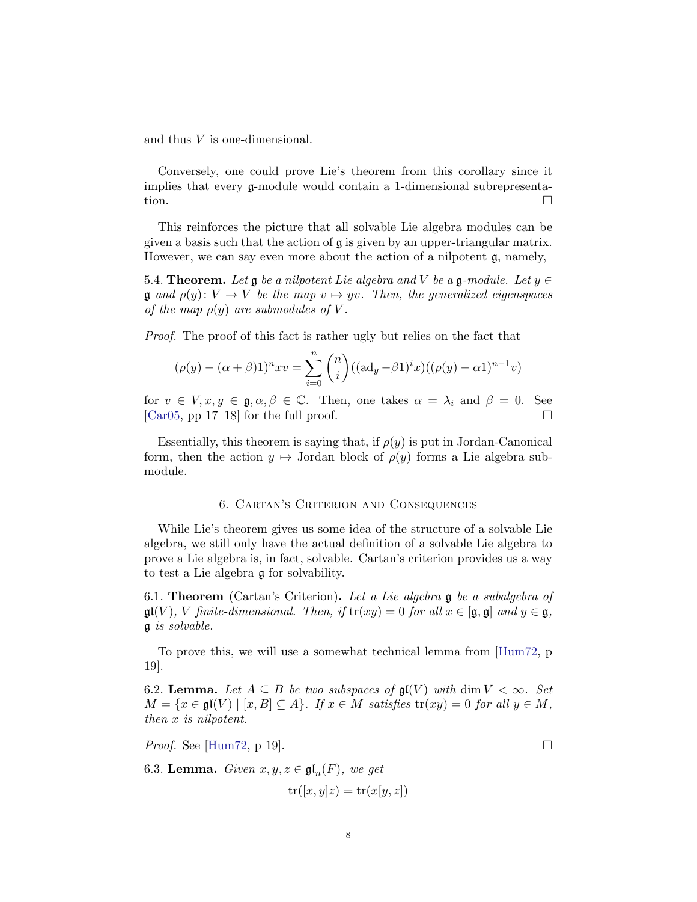and thus V is one-dimensional.

Conversely, one could prove Lie's theorem from this corollary since it implies that every g-module would contain a 1-dimensional subrepresentation.

This reinforces the picture that all solvable Lie algebra modules can be given a basis such that the action of  $\mathfrak g$  is given by an upper-triangular matrix. However, we can say even more about the action of a nilpotent g, namely,

5.4. **Theorem.** Let  $\mathfrak{g}$  be a nilpotent Lie algebra and V be a  $\mathfrak{g}\text{-module}$ . Let  $y \in$  $\mathfrak g$  and  $\rho(y): V \to V$  be the map  $v \mapsto yv$ . Then, the generalized eigenspaces of the map  $\rho(y)$  are submodules of V.

Proof. The proof of this fact is rather ugly but relies on the fact that

$$
(\rho(y) - (\alpha + \beta)1)^n x v = \sum_{i=0}^n {n \choose i} ((\text{ad}_y - \beta 1)^i x) ((\rho(y) - \alpha 1)^{n-1} v)
$$

for  $v \in V, x, y \in \mathfrak{g}, \alpha, \beta \in \mathbb{C}$ . Then, one takes  $\alpha = \lambda_i$  and  $\beta = 0$ . See  $[\text{Car05}, \text{ pp 17–18}]$  for the full proof.

Essentially, this theorem is saying that, if  $\rho(y)$  is put in Jordan-Canonical form, then the action  $y \mapsto$  Jordan block of  $\rho(y)$  forms a Lie algebra submodule.

### 6. Cartan's Criterion and Consequences

While Lie's theorem gives us some idea of the structure of a solvable Lie algebra, we still only have the actual definition of a solvable Lie algebra to prove a Lie algebra is, in fact, solvable. Cartan's criterion provides us a way to test a Lie algebra g for solvability.

6.1. Theorem (Cartan's Criterion). Let a Lie algebra g be a subalgebra of  $\mathfrak{gl}(V)$ , V finite-dimensional. Then, if  $\text{tr}(xy) = 0$  for all  $x \in [\mathfrak{g}, \mathfrak{g}]$  and  $y \in \mathfrak{g}$ , g is solvable.

To prove this, we will use a somewhat technical lemma from [\[Hum72,](#page-12-0) p 19].

6.2. Lemma. Let  $A \subseteq B$  be two subspaces of  $\mathfrak{gl}(V)$  with dim  $V < \infty$ . Set  $M = \{x \in \mathfrak{gl}(V) \mid [x, B] \subseteq A\}.$  If  $x \in M$  satisfies  $\text{tr}(xy) = 0$  for all  $y \in M$ , then x is nilpotent.

*Proof.* See [\[Hum72,](#page-12-0) p 19].

6.3. Lemma. Given  $x, y, z \in \mathfrak{gl}_n(F)$ , we get

$$
\operatorname{tr}([x,y]z) = \operatorname{tr}(x[y,z])
$$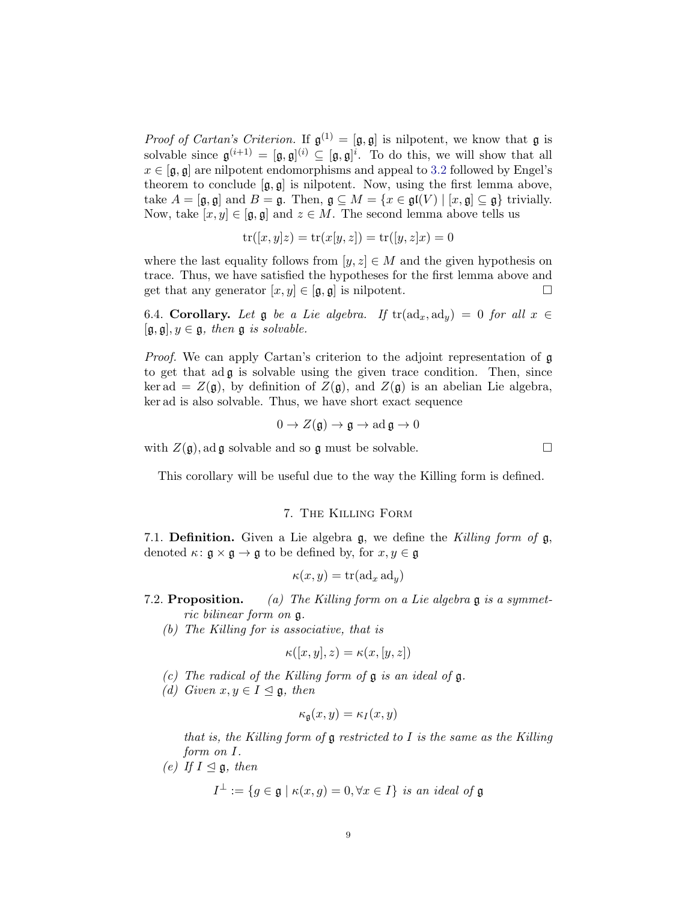*Proof of Cartan's Criterion.* If  $\mathfrak{g}^{(1)} = [\mathfrak{g}, \mathfrak{g}]$  is nilpotent, we know that  $\mathfrak{g}$  is solvable since  $\mathfrak{g}^{(i+1)} = [\mathfrak{g}, \mathfrak{g}]^{(i)} \subseteq [\mathfrak{g}, \mathfrak{g}]^i$ . To do this, we will show that all  $x \in [g, g]$  are nilpotent endomorphisms and appeal to [3.2](#page-4-1) followed by Engel's theorem to conclude  $[g, g]$  is nilpotent. Now, using the first lemma above, take  $A = [\mathfrak{g}, \mathfrak{g}]$  and  $B = \mathfrak{g}$ . Then,  $\mathfrak{g} \subseteq M = \{x \in \mathfrak{gl}(V) \mid [x, \mathfrak{g}] \subseteq \mathfrak{g}\}\$ trivially. Now, take  $[x, y] \in [\mathfrak{g}, \mathfrak{g}]$  and  $z \in M$ . The second lemma above tells us

$$
tr([x, y]z) = tr(x[y, z]) = tr([y, z]x) = 0
$$

where the last equality follows from  $[y, z] \in M$  and the given hypothesis on trace. Thus, we have satisfied the hypotheses for the first lemma above and get that any generator  $[x, y] \in [\mathfrak{g}, \mathfrak{g}]$  is nilpotent.

6.4. Corollary. Let g be a Lie algebra. If  $tr(\text{ad}_x, \text{ad}_y) = 0$  for all  $x \in$  $[\mathfrak{g}, \mathfrak{g}], y \in \mathfrak{g}, \text{ then } \mathfrak{g} \text{ is solvable.}$ 

Proof. We can apply Cartan's criterion to the adjoint representation of g to get that  $ad\mathfrak{g}$  is solvable using the given trace condition. Then, since ker ad =  $Z(\mathfrak{g})$ , by definition of  $Z(\mathfrak{g})$ , and  $Z(\mathfrak{g})$  is an abelian Lie algebra, ker ad is also solvable. Thus, we have short exact sequence

$$
0 \to Z(\mathfrak{g}) \to \mathfrak{g} \to \mathrm{ad}\,\mathfrak{g} \to 0
$$

with  $Z(\mathfrak{g})$ , ad  $\mathfrak{g}$  solvable and so  $\mathfrak{g}$  must be solvable.

This corollary will be useful due to the way the Killing form is defined.

## 7. The Killing Form

7.1. **Definition.** Given a Lie algebra  $\mathfrak{g}$ , we define the Killing form of  $\mathfrak{g}$ , denoted  $\kappa: \mathfrak{g} \times \mathfrak{g} \to \mathfrak{g}$  to be defined by, for  $x, y \in \mathfrak{g}$ 

$$
\kappa(x, y) = \text{tr}(\text{ad}_x \,\text{ad}_y)
$$

- 7.2. **Proposition.** (a) The Killing form on a Lie algebra  $\mathfrak g$  is a symmetric bilinear form on g.
	- (b) The Killing for is associative, that is

$$
\kappa([x, y], z) = \kappa(x, [y, z])
$$

- (c) The radical of the Killing form of  $\mathfrak g$  is an ideal of  $\mathfrak g$ .
- (d) Given  $x, y \in I \leq \mathfrak{g}$ , then

$$
\kappa_{\mathfrak{g}}(x,y) = \kappa_I(x,y)
$$

that is, the Killing form of  $\mathfrak g$  restricted to I is the same as the Killing form on I.

(e) If  $I \leq \mathfrak{g}$ , then

$$
I^{\perp} := \{ g \in \mathfrak{g} \mid \kappa(x, g) = 0, \forall x \in I \} \text{ is an ideal of } \mathfrak{g}
$$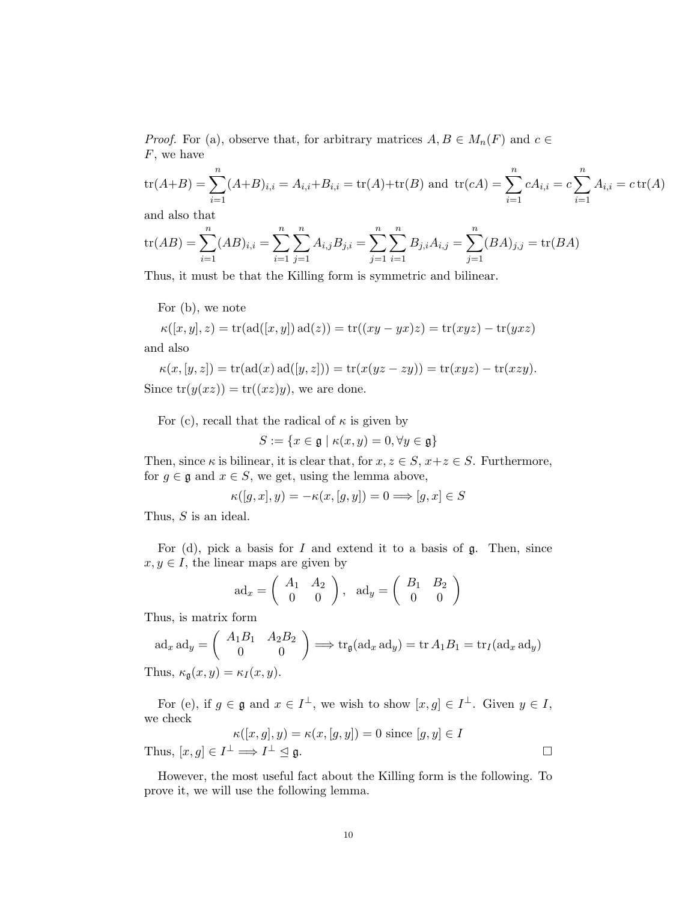*Proof.* For (a), observe that, for arbitrary matrices  $A, B \in M_n(F)$  and  $c \in$ F, we have

$$
\text{tr}(A+B) = \sum_{i=1}^{n} (A+B)_{i,i} = A_{i,i} + B_{i,i} = \text{tr}(A) + \text{tr}(B) \text{ and } \text{tr}(cA) = \sum_{i=1}^{n} c A_{i,i} = c \sum_{i=1}^{n} A_{i,i} = c \text{tr}(A)
$$

and also that

$$
\text{tr}(AB) = \sum_{i=1}^{n} (AB)_{i,i} = \sum_{i=1}^{n} \sum_{j=1}^{n} A_{i,j} B_{j,i} = \sum_{j=1}^{n} \sum_{i=1}^{n} B_{j,i} A_{i,j} = \sum_{j=1}^{n} (BA)_{j,j} = \text{tr}(BA)
$$

Thus, it must be that the Killing form is symmetric and bilinear.

For (b), we note

$$
\kappa([x, y], z) = \text{tr}(\text{ad}([x, y]) \text{ad}(z)) = \text{tr}((xy - yx)z) = \text{tr}(xyz) - \text{tr}(yxz)
$$
nd also

and also

$$
\kappa(x, [y, z]) = \text{tr}(\text{ad}(x) \text{ ad}([y, z])) = \text{tr}(x(yz - zy)) = \text{tr}(xyz) - \text{tr}(xzy).
$$
  
Since 
$$
\text{tr}(y(xz)) = \text{tr}((xz)y)
$$
, we are done.

For (c), recall that the radical of  $\kappa$  is given by

 $S := \{x \in \mathfrak{g} \mid \kappa(x, y) = 0, \forall y \in \mathfrak{g}\}\$ 

Then, since  $\kappa$  is bilinear, it is clear that, for  $x, z \in S$ ,  $x+z \in S$ . Furthermore, for  $g \in \mathfrak{g}$  and  $x \in S$ , we get, using the lemma above,

$$
\kappa([g, x], y) = -\kappa(x, [g, y]) = 0 \Longrightarrow [g, x] \in S
$$

Thus, S is an ideal.

For  $(d)$ , pick a basis for I and extend it to a basis of  $g$ . Then, since  $x, y \in I$ , the linear maps are given by

$$
ad_x = \begin{pmatrix} A_1 & A_2 \\ 0 & 0 \end{pmatrix}, ad_y = \begin{pmatrix} B_1 & B_2 \\ 0 & 0 \end{pmatrix}
$$

Thus, is matrix form

$$
ad_x ad_y = \begin{pmatrix} A_1 B_1 & A_2 B_2 \\ 0 & 0 \end{pmatrix} \Longrightarrow tr_{\mathfrak{g}}(ad_x ad_y) = tr A_1 B_1 = tr_I(ad_x ad_y)
$$

Thus,  $\kappa_{\mathfrak{g}}(x, y) = \kappa_I(x, y)$ .

For (e), if  $g \in \mathfrak{g}$  and  $x \in I^{\perp}$ , we wish to show  $[x, g] \in I^{\perp}$ . Given  $y \in I$ , we check  $\begin{pmatrix} 1 & 0 \\ 0 & 0 \end{pmatrix}$  =  $\begin{pmatrix} x & 0 \\ 0 & 0 \end{pmatrix}$ 

$$
\kappa([x, g], y) = \kappa(x, [g, y]) = 0 \text{ since } [g, y] \in I
$$
  
Thus,  $[x, g] \in I^{\perp} \implies I^{\perp} \leq \mathfrak{g}$ .

However, the most useful fact about the Killing form is the following. To prove it, we will use the following lemma.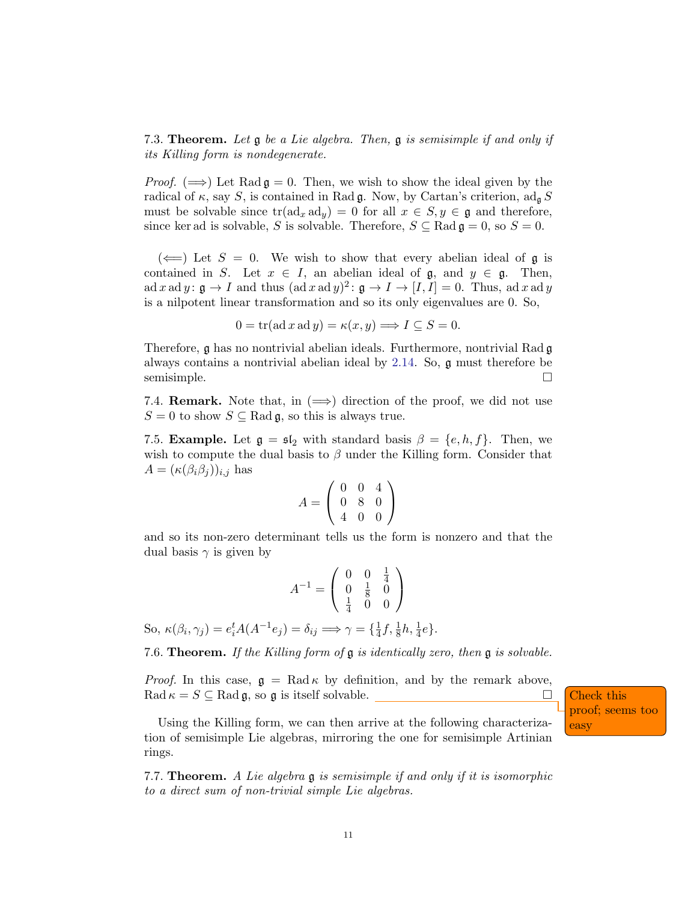<span id="page-10-0"></span>7.3. Theorem. Let  $\mathfrak g$  be a Lie algebra. Then,  $\mathfrak g$  is semisimple if and only if its Killing form is nondegenerate.

*Proof.* ( $\implies$ ) Let Rad  $\mathfrak{g} = 0$ . Then, we wish to show the ideal given by the radical of  $\kappa$ , say S, is contained in Rad g. Now, by Cartan's criterion,  $ad_{\mathfrak{g}} S$ must be solvable since  $tr(\text{ad}_x \text{ad}_y) = 0$  for all  $x \in S, y \in \mathfrak{g}$  and therefore, since ker ad is solvable, S is solvable. Therefore,  $S \subseteq \text{Rad } \mathfrak{g} = 0$ , so  $S = 0$ .

 $(\Leftarrow)$  Let  $S = 0$ . We wish to show that every abelian ideal of g is contained in S. Let  $x \in I$ , an abelian ideal of  $\mathfrak{g}$ , and  $y \in \mathfrak{g}$ . Then, ad x ad y:  $\mathfrak{g} \to I$  and thus  $(\text{ad } x \text{ ad } y)^2$ :  $\mathfrak{g} \to I \to [I, I] = 0$ . Thus, ad x ad y is a nilpotent linear transformation and so its only eigenvalues are 0. So,

$$
0 = \text{tr}(\text{ad } x \text{ ad } y) = \kappa(x, y) \Longrightarrow I \subseteq S = 0.
$$

Therefore,  $\mathfrak g$  has no nontrivial abelian ideals. Furthermore, nontrivial Rad  $\mathfrak g$ always contains a nontrivial abelian ideal by [2.14.](#page-3-0) So, g must therefore be semisimple.

7.4. **Remark.** Note that, in  $(\implies)$  direction of the proof, we did not use  $S = 0$  to show  $S \subseteq \text{Rad } \mathfrak{g}$ , so this is always true.

7.5. **Example.** Let  $\mathfrak{g} = \mathfrak{sl}_2$  with standard basis  $\beta = \{e, h, f\}$ . Then, we wish to compute the dual basis to  $\beta$  under the Killing form. Consider that  $A = (\kappa(\beta_i \beta_j))_{i,j}$  has

$$
A = \left(\begin{array}{ccc} 0 & 0 & 4 \\ 0 & 8 & 0 \\ 4 & 0 & 0 \end{array}\right)
$$

and so its non-zero determinant tells us the form is nonzero and that the dual basis  $\gamma$  is given by

$$
A^{-1} = \left(\begin{array}{ccc} 0 & 0 & \frac{1}{4} \\ 0 & \frac{1}{8} & 0 \\ \frac{1}{4} & 0 & 0 \end{array}\right)
$$

So,  $\kappa(\beta_i, \gamma_j) = e_i^t A(A^{-1}e_j) = \delta_{ij} \Longrightarrow \gamma = \{\frac{1}{4}\}$  $\frac{1}{4}f, \frac{1}{8}h, \frac{1}{4}e$ .

7.6. **Theorem.** If the Killing form of  $\mathfrak g$  is identically zero, then  $\mathfrak g$  is solvable.

*Proof.* In this case,  $\mathfrak{g} = \text{Rad } \kappa$  by definition, and by the remark above,  $\text{Rad } \kappa = S \subseteq \text{Rad } \mathfrak{g}$ , so  $\mathfrak{g}$  is itself solvable.  $\Box$  Check this

Using the Killing form, we can then arrive at the following characteriza- $_{\rm easy}$ tion of semisimple Lie algebras, mirroring the one for semisimple Artinian rings.

<span id="page-10-1"></span>7.7. Theorem. A Lie algebra g is semisimple if and only if it is isomorphic to a direct sum of non-trivial simple Lie algebras.

proof; seems too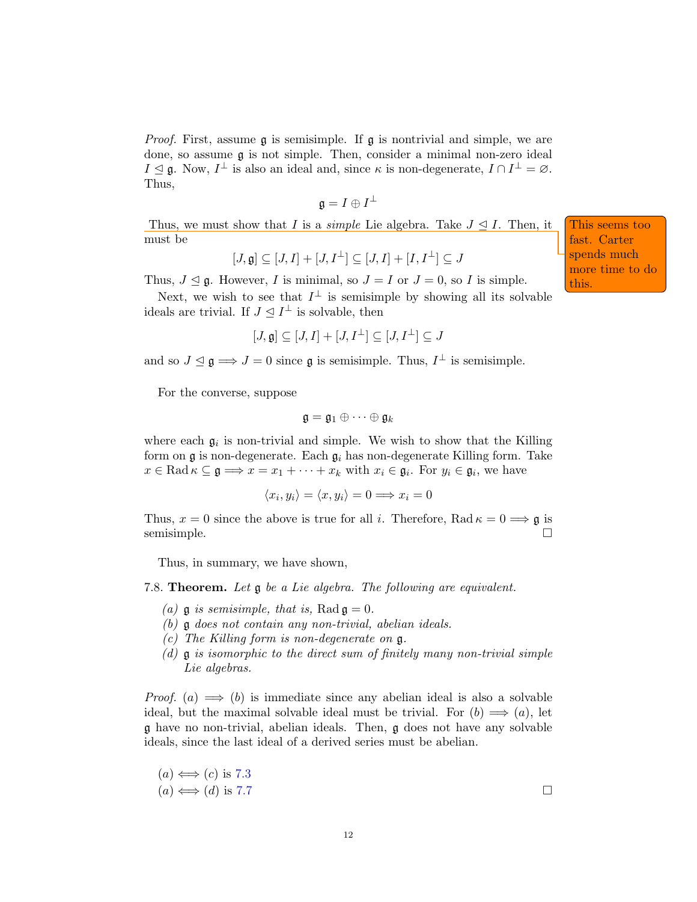Proof. First, assume g is semisimple. If g is nontrivial and simple, we are done, so assume g is not simple. Then, consider a minimal non-zero ideal  $I \leq \mathfrak{g}$ . Now,  $I^{\perp}$  is also an ideal and, since  $\kappa$  is non-degenerate,  $I \cap I^{\perp} = \varnothing$ . Thus,

$$
\mathfrak{g}=I\oplus I^\perp
$$

Thus, we must show that I is a *simple* Lie algebra. Take  $J \subseteq I$ . Then, it This seems too must be

$$
[J,\mathfrak{g}]\subseteq [J,I]+[J,I^\perp]\subseteq [J,I]+[I,I^\perp]\subseteq J
$$

Thus,  $J \leq \mathfrak{g}$ . However, I is minimal, so  $J = I$  or  $J = 0$ , so I is simple.

Next, we wish to see that  $I^{\perp}$  is semisimple by showing all its solvable ideals are trivial. If  $J \leq I^{\perp}$  is solvable, then

$$
[J,\mathfrak{g}]\subseteq [J,I]+[J,I^\perp]\subseteq [J,I^\perp]\subseteq J
$$

and so  $J \leq \mathfrak{g} \Longrightarrow J = 0$  since  $\mathfrak{g}$  is semisimple. Thus,  $I^{\perp}$  is semisimple.

For the converse, suppose

$$
\mathfrak{g}=\mathfrak{g}_1\oplus\cdots\oplus\mathfrak{g}_k
$$

where each  $g_i$  is non-trivial and simple. We wish to show that the Killing form on  $\mathfrak g$  is non-degenerate. Each  $\mathfrak g_i$  has non-degenerate Killing form. Take  $x \in \text{Rad} \,\kappa \subseteq \mathfrak{g} \Longrightarrow x = x_1 + \cdots + x_k \text{ with } x_i \in \mathfrak{g}_i. \text{ For } y_i \in \mathfrak{g}_i, \text{ we have}$ 

$$
\langle x_i, y_i \rangle = \langle x, y_i \rangle = 0 \Longrightarrow x_i = 0
$$

Thus,  $x = 0$  since the above is true for all i. Therefore, Rad  $\kappa = 0 \Longrightarrow \mathfrak{g}$  is semisimple.

Thus, in summary, we have shown,

7.8. Theorem. Let g be a Lie algebra. The following are equivalent.

- (a)  $\mathfrak a$  is semisimple, that is, Rad  $\mathfrak g = 0$ .
- (b) g does not contain any non-trivial, abelian ideals.
- (c) The Killing form is non-degenerate on g.
- (d)  $\mathfrak g$  is isomorphic to the direct sum of finitely many non-trivial simple Lie algebras.

*Proof.* (a)  $\implies$  (b) is immediate since any abelian ideal is also a solvable ideal, but the maximal solvable ideal must be trivial. For  $(b) \implies (a)$ , let g have no non-trivial, abelian ideals. Then, g does not have any solvable ideals, since the last ideal of a derived series must be abelian.

$$
(a) \iff (c) \text{ is } 7.3
$$
  

$$
(a) \iff (d) \text{ is } 7.7
$$

fast. Carter spends much more time to do this.